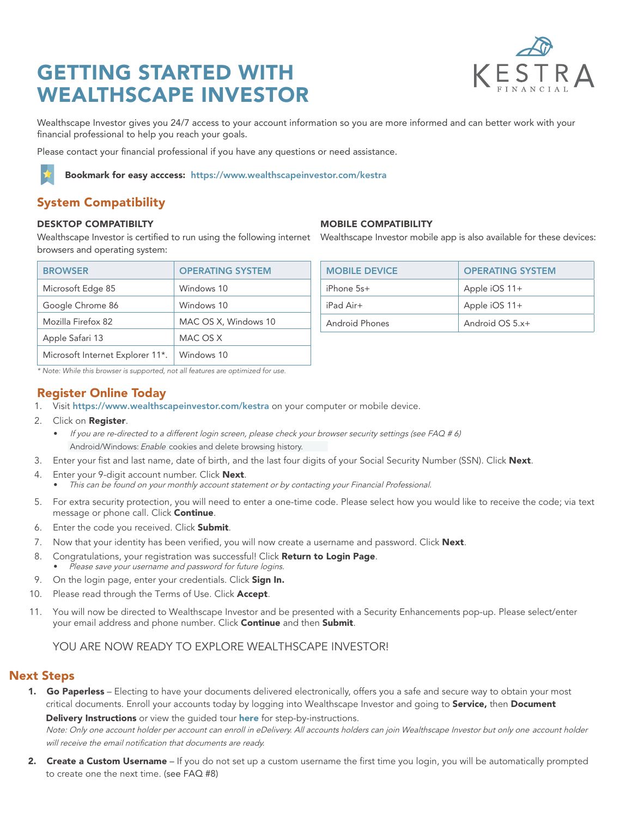# GETTING STARTED WITH WEALTHSCAPE INVESTOR



Wealthscape Investor gives you 24/7 access to your account information so you are more informed and can better work with your financial professional to help you reach your goals.

Please contact your financial professional if you have any questions or need assistance.

Bookmark for easy acccess: <https://www.wealthscapeinvestor.com/kestra>

## System Compatibility

#### DESKTOP COMPATIBILTY

Wealthscape Investor is certified to run using the following internet Wealthscape Investor mobile app is also available for these devices: browsers and operating system:

| <b>BROWSER</b>                   | <b>OPERATING SYSTEM</b> |
|----------------------------------|-------------------------|
| Microsoft Edge 85                | Windows 10              |
| Google Chrome 86                 | Windows 10              |
| Mozilla Firefox 82               | MAC OS X, Windows 10    |
| Apple Safari 13                  | MAC OS X                |
| Microsoft Internet Explorer 11*. | Windows 10              |

*\* Note: While this browser is supported, not all features are optimized for use.*

### Register Online Today

1. Visit <https://www.wealthscapeinvestor.com/kestra> on your computer or mobile device.

- 2. Click on Register.
	- If you are re-directed to a different login screen, please check your browser security settings (see FAQ # 6) Android/Windows: Enable cookies and delete browsing history.
- 3. Enter your fist and last name, date of birth, and the last four digits of your Social Security Number (SSN). Click Next.
- 4. Enter your 9-digit account number. Click Next. • This can be found on your monthly account statement or by contacting your Financial Professional.
- 5. For extra security protection, you will need to enter a one-time code. Please select how you would like to receive the code; via text message or phone call. Click Continue.
- 6. Enter the code you received. Click Submit.
- 7. Now that your identity has been verified, you will now create a username and password. Click Next.
- 8. Congratulations, your registration was successful! Click Return to Login Page.
- Please save your username and password for future logins.
- 9. On the login page, enter your credentials. Click Sign In.
- 10. Please read through the Terms of Use. Click Accept.
- 11. You will now be directed to Wealthscape Investor and be presented with a Security Enhancements pop-up. Please select/enter your email address and phone number. Click Continue and then Submit.

## YOU ARE NOW READY TO EXPLORE WEALTHSCAPE INVESTOR!

### Next Steps

1. Go Paperless - Electing to have your documents delivered electronically, offers you a safe and secure way to obtain your most critical documents. Enroll your accounts today by logging into Wealthscape Investor and going to Service, then Document Delivery Instructions or view the quided tour [here](https://www.myonlinebrokeragecentral.com/app/item/RD_9883355/wealthscape-edelivery-guided-tour.html) for step-by-instructions.

Note: Only one account holder per account can enroll in eDelivery. All accounts holders can join Wealthscape Investor but only one account holder will receive the email notification that documents are ready.

2. Create a Custom Username – If you do not set up a custom username the first time you login, you will be automatically prompted to create one the next time. (see FAQ #8)

| <b>MOBILE COMPATIBILITY</b> |
|-----------------------------|
|                             |

| <b>MOBILE DEVICE</b> | <b>OPERATING SYSTEM</b> |
|----------------------|-------------------------|
| $iPhone$ 5s+         | Apple $iOS$ 11+         |
| $iPad Air+$          | Apple $iOS$ 11+         |
| Android Phones       | Android $OS 5.x+$       |